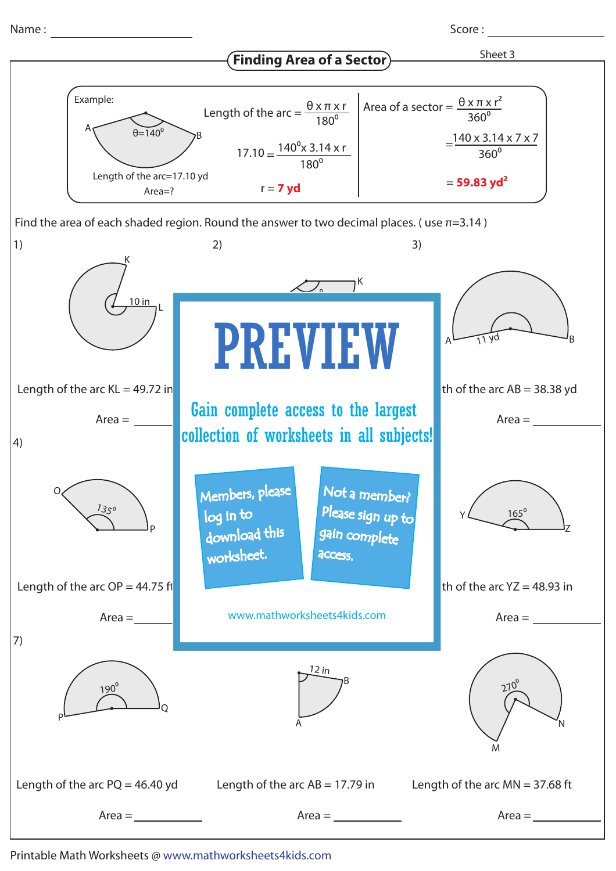